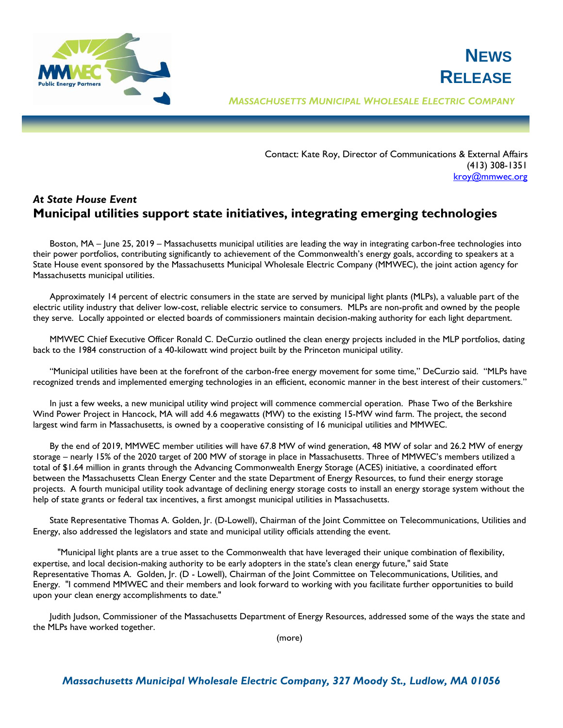

*MASSACHUSETTS MUNICIPAL WHOLESALE ELECTRIC COMPANY*

Contact: Kate Roy, Director of Communications & External Affairs (413) 308-1351 [kroy@mmwec.org](mailto:kroy@mmwec.org)

**NEWS**

**RELEASE**

## *At State House Event* **Municipal utilities support state initiatives, integrating emerging technologies**

Boston, MA – June 25, 2019 – Massachusetts municipal utilities are leading the way in integrating carbon-free technologies into their power portfolios, contributing significantly to achievement of the Commonwealth's energy goals, according to speakers at a State House event sponsored by the Massachusetts Municipal Wholesale Electric Company (MMWEC), the joint action agency for Massachusetts municipal utilities.

Approximately 14 percent of electric consumers in the state are served by municipal light plants (MLPs), a valuable part of the electric utility industry that deliver low-cost, reliable electric service to consumers. MLPs are non-profit and owned by the people they serve. Locally appointed or elected boards of commissioners maintain decision-making authority for each light department.

MMWEC Chief Executive Officer Ronald C. DeCurzio outlined the clean energy projects included in the MLP portfolios, dating back to the 1984 construction of a 40-kilowatt wind project built by the Princeton municipal utility.

"Municipal utilities have been at the forefront of the carbon-free energy movement for some time," DeCurzio said. "MLPs have recognized trends and implemented emerging technologies in an efficient, economic manner in the best interest of their customers."

In just a few weeks, a new municipal utility wind project will commence commercial operation. Phase Two of the Berkshire Wind Power Project in Hancock, MA will add 4.6 megawatts (MW) to the existing 15-MW wind farm. The project, the second largest wind farm in Massachusetts, is owned by a cooperative consisting of 16 municipal utilities and MMWEC.

By the end of 2019, MMWEC member utilities will have 67.8 MW of wind generation, 48 MW of solar and 26.2 MW of energy storage – nearly 15% of the 2020 target of 200 MW of storage in place in Massachusetts. Three of MMWEC's members utilized a total of \$1.64 million in grants through the Advancing Commonwealth Energy Storage (ACES) initiative, a coordinated effort between the Massachusetts Clean Energy Center and the state Department of Energy Resources, to fund their energy storage projects. A fourth municipal utility took advantage of declining energy storage costs to install an energy storage system without the help of state grants or federal tax incentives, a first amongst municipal utilities in Massachusetts.

State Representative Thomas A. Golden, Jr. (D-Lowell), Chairman of the Joint Committee on Telecommunications, Utilities and Energy, also addressed the legislators and state and municipal utility officials attending the event.

"Municipal light plants are a true asset to the Commonwealth that have leveraged their unique combination of flexibility, expertise, and local decision-making authority to be early adopters in the state's clean energy future," said State Representative Thomas A. Golden, Jr. (D - Lowell), Chairman of the Joint Committee on Telecommunications, Utilities, and Energy. "I commend MMWEC and their members and look forward to working with you facilitate further opportunities to build upon your clean energy accomplishments to date."

Judith Judson, Commissioner of the Massachusetts Department of Energy Resources, addressed some of the ways the state and the MLPs have worked together.

(more)